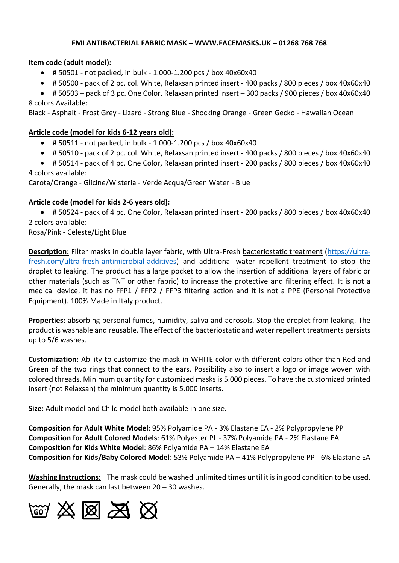#### **FMI ANTIBACTERIAL FABRIC MASK – WWW.FACEMASKS.UK – 01268 768 768**

### **Item code (adult model):**

- $\bullet$  # 50501 not packed, in bulk 1.000-1.200 pcs / box 40x60x40
- # 50500 pack of 2 pc. col. White, Relaxsan printed insert 400 packs / 800 pieces / box 40x60x40
- # 50503 pack of 3 pc. One Color, Relaxsan printed insert 300 packs / 900 pieces / box 40x60x40 8 colors Available:

Black - Asphalt - Frost Grey - Lizard - Strong Blue - Shocking Orange - Green Gecko - Hawaiian Ocean

## **Article code (model for kids 6-12 years old):**

- $\bullet$  # 50511 not packed, in bulk 1.000-1.200 pcs / box 40x60x40
- # 50510 pack of 2 pc. col. White, Relaxsan printed insert 400 packs / 800 pieces / box 40x60x40
- # 50514 pack of 4 pc. One Color, Relaxsan printed insert 200 packs / 800 pieces / box 40x60x40 4 colors available:

Carota/Orange - Glicine/Wisteria - Verde Acqua/Green Water - Blue

## **Article code (model for kids 2-6 years old):**

• # 50524 - pack of 4 pc. One Color, Relaxsan printed insert - 200 packs / 800 pieces / box 40x60x40 2 colors available:

Rosa/Pink - Celeste/Light Blue

**Description:** Filter masks in double layer fabric, with Ultra-Fresh bacteriostatic treatment [\(https://ultra](https://ultra-fresh.com/ultra-fresh-antimicrobial-additives)[fresh.com/ultra-fresh-antimicrobial-additives\)](https://ultra-fresh.com/ultra-fresh-antimicrobial-additives) and additional water repellent treatment to stop the droplet to leaking. The product has a large pocket to allow the insertion of additional layers of fabric or other materials (such as TNT or other fabric) to increase the protective and filtering effect. It is not a medical device, it has no FFP1 / FFP2 / FFP3 filtering action and it is not a PPE (Personal Protective Equipment). 100% Made in Italy product.

**Properties:** absorbing personal fumes, humidity, saliva and aerosols. Stop the droplet from leaking. The product is washable and reusable. The effect of the bacteriostatic and water repellent treatments persists up to 5/6 washes.

**Customization:** Ability to customize the mask in WHITE color with different colors other than Red and Green of the two rings that connect to the ears. Possibility also to insert a logo or image woven with colored threads. Minimum quantity for customized masks is 5.000 pieces. To have the customized printed insert (not Relaxsan) the minimum quantity is 5.000 inserts.

**Size:** Adult model and Child model both available in one size.

**Composition for Adult White Model**: 95% Polyamide PA - 3% Elastane EA - 2% Polypropylene PP **Composition for Adult Colored Models**: 61% Polyester PL - 37% Polyamide PA - 2% Elastane EA **Composition for Kids White Model**: 86% Polyamide PA – 14% Elastane EA **Composition for Kids/Baby Colored Model**: 53% Polyamide PA – 41% Polypropylene PP - 6% Elastane EA

**Washing Instructions:** The mask could be washed unlimited times until it is in good condition to be used. Generally, the mask can last between 20 – 30 washes.

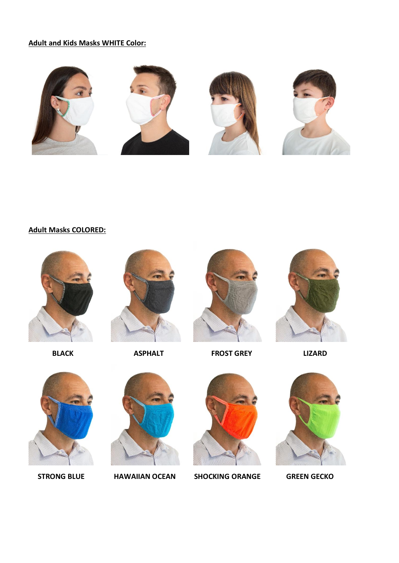# **Adult and Kids Masks WHITE Color:**



**Adult Masks COLORED:**







**BLACK ASPHALT FROST GREY LIZARD** 







 **STRONG BLUE HAWAIIAN OCEAN SHOCKING ORANGE GREEN GECKO**